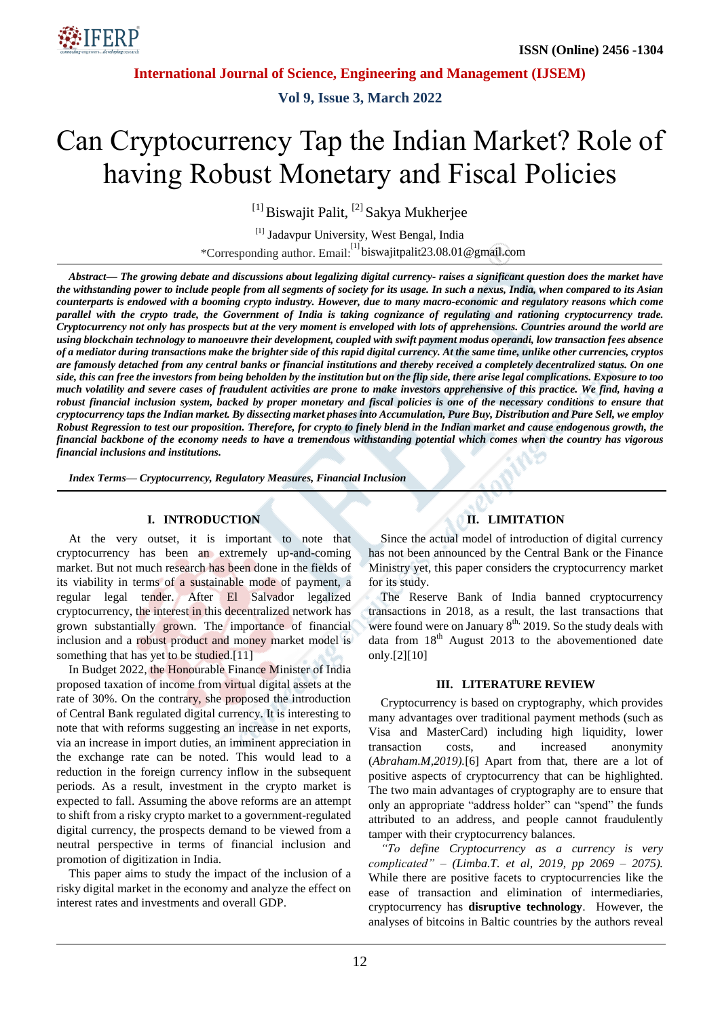

**Vol 9, Issue 3, March 2022**

# Can Cryptocurrency Tap the Indian Market? Role of having Robust Monetary and Fiscal Policies

<sup>[1]</sup> Biswajit Palit, <sup>[2]</sup> Sakya Mukherjee

[1] Jadavpur University, West Bengal, India \*Corresponding author. Email:<sup>[1]</sup> biswajitpalit23.08.01@gmail.com

Abstract— The growing debate and discussions about legalizing digital currency-raises a significant question does the market have the withstanding power to include people from all segments of society for its usage. In such a nexus, India, when compared to its Asian counterparts is endowed with a booming crypto industry. However, due to many macro-economic and regulatory reasons which come parallel with the crypto trade, the Government of India is taking cognizance of regulating and rationing cryptocurrency trade. Cryptocurrency not only has prospects but at the very moment is enveloped with lots of apprehensions. Countries around the world are using blockchain technology to manoeuvre their development, coupled with swift payment modus operandi, low transaction fees absence of a mediator during transactions make the brighter side of this rapid digital currency. At the same time, unlike other currencies, cryptos are famously detached from any central banks or financial institutions and thereby received a completely decentralized status. On one side, this can free the investors from being beholden by the institution but on the flip side, there arise legal complications. Exposure to too much volatility and severe cases of fraudulent activities are prone to make investors apprehensive of this practice. We find, having a robust financial inclusion system, backed by proper monetary and fiscal policies is one of the necessary conditions to ensure that cryptocurrency taps the Indian market. By dissecting market phases into Accumulation, Pure Buy, Distribution and Pure Sell, we employ Robust Regression to test our proposition. Therefore, for crypto to finely blend in the Indian market and cause endogenous growth, the financial backbone of the economy needs to have a tremendous withstanding potential which comes when the country has vigorous *financial inclusions and institutions.*

*Index Terms— Cryptocurrency, Regulatory Measures, Financial Inclusion*

## **I. INTRODUCTION**

At the very outset, it is important to note that cryptocurrency has been an extremely up-and-coming market. But not much research has been done in the fields of its viability in terms of a sustainable mode of payment, a regular legal tender. After El Salvador legalized cryptocurrency, the interest in this decentralized network has grown substantially grown. The importance of financial inclusion and a robust product and money market model is something that has yet to be studied.<sup>[11]</sup>

In Budget 2022, the Honourable Finance Minister of India proposed taxation of income from virtual digital assets at the rate of 30%. On the contrary, she proposed the introduction of Central Bank regulated digital currency. It is interesting to note that with reforms suggesting an increase in net exports, via an increase in import duties, an imminent appreciation in the exchange rate can be noted. This would lead to a reduction in the foreign currency inflow in the subsequent periods. As a result, investment in the crypto market is expected to fall. Assuming the above reforms are an attempt to shift from a risky crypto market to a government-regulated digital currency, the prospects demand to be viewed from a neutral perspective in terms of financial inclusion and promotion of digitization in India.

This paper aims to study the impact of the inclusion of a risky digital market in the economy and analyze the effect on interest rates and investments and overall GDP.

# **II. LIMITATION**

Since the actual model of introduction of digital currency has not been announced by the Central Bank or the Finance Ministry yet, this paper considers the cryptocurrency market for its study.

The Reserve Bank of India banned cryptocurrency transactions in 2018, as a result, the last transactions that were found were on January  $8<sup>th</sup>$ , 2019. So the study deals with data from  $18<sup>th</sup>$  August 2013 to the abovementioned date only.[2][10]

#### **III. LITERATURE REVIEW**

Cryptocurrency is based on cryptography, which provides many advantages over traditional payment methods (such as Visa and MasterCard) including high liquidity, lower transaction costs, and increased anonymity (*Abraham.M,2019).*[6] Apart from that, there are a lot of positive aspects of cryptocurrency that can be highlighted. The two main advantages of cryptography are to ensure that only an appropriate "address holder" can "spend" the funds attributed to an address, and people cannot fraudulently tamper with their cryptocurrency balances*.*

*"To define Cryptocurrency as a currency is very complicated" – (Limba.T. et al, 2019, pp 2069 – 2075).* While there are positive facets to cryptocurrencies like the ease of transaction and elimination of intermediaries, cryptocurrency has **disruptive technology**. However, the analyses of bitcoins in Baltic countries by the authors reveal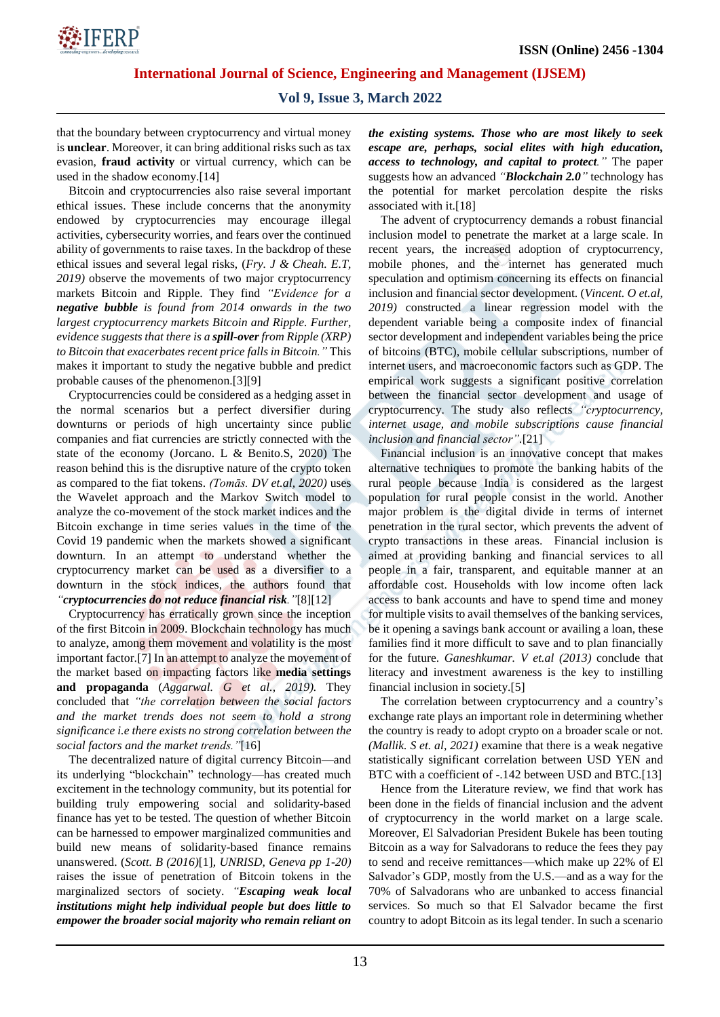

# **Vol 9, Issue 3, March 2022**

that the boundary between cryptocurrency and virtual money is **unclear**. Moreover, it can bring additional risks such as tax evasion, **fraud activity** or virtual currency, which can be used in the shadow economy.[14]

Bitcoin and cryptocurrencies also raise several important ethical issues. These include concerns that the anonymity endowed by cryptocurrencies may encourage illegal activities, cybersecurity worries, and fears over the continued ability of governments to raise taxes. In the backdrop of these ethical issues and several legal risks, (*Fry. J & Cheah. E.T, 2019)* observe the movements of two major cryptocurrency markets Bitcoin and Ripple. They find *"Evidence for a negative bubble is found from 2014 onwards in the two largest cryptocurrency markets Bitcoin and Ripple. Further, evidence suggests that there is a spill-over from Ripple (XRP) to Bitcoin that exacerbates recent price falls in Bitcoin."* This makes it important to study the negative bubble and predict probable causes of the phenomenon.[3][9]

Cryptocurrencies could be considered as a hedging asset in the normal scenarios but a perfect diversifier during downturns or periods of high uncertainty since public companies and fiat currencies are strictly connected with the state of the economy (Jorcano. L & Benito.S, 2020) The reason behind this is the disruptive nature of the crypto token as compared to the fiat tokens. *(Tomās. DV et.al, 2020)* uses the Wavelet approach and the Markov Switch model to analyze the co-movement of the stock market indices and the Bitcoin exchange in time series values in the time of the Covid 19 pandemic when the markets showed a significant downturn. In an attempt to understand whether the cryptocurrency market can be used as a diversifier to a downturn in the stock indices, the authors found that *"cryptocurrencies do not reduce financial risk."*[8][12]

Cryptocurrency has erratically grown since the inception of the first Bitcoin in 2009. Blockchain technology has much to analyze, among them movement and volatility is the most important factor.[7] In an attempt to analyze the movement of the market based on impacting factors like **media settings and propaganda** (*Aggarwal. G et al., 2019).* They concluded that *"the correlation between the social factors and the market trends does not seem to hold a strong significance i.e there exists no strong correlation between the social factors and the market trends."*[16]

The decentralized nature of digital currency Bitcoin—and its underlying "blockchain" technology—has created much excitement in the technology community, but its potential for building truly empowering social and solidarity-based finance has yet to be tested. The question of whether Bitcoin can be harnessed to empower marginalized communities and build new means of solidarity-based finance remains unanswered. (*Scott. B (2016)*[1]*, UNRISD, Geneva pp 1-20)* raises the issue of penetration of Bitcoin tokens in the marginalized sectors of society. *"Escaping weak local institutions might help individual people but does little to empower the broader social majority who remain reliant on* *the existing systems. Those who are most likely to seek escape are, perhaps, social elites with high education, access to technology, and capital to protect."* The paper suggests how an advanced *"Blockchain 2.0"* technology has the potential for market percolation despite the risks associated with it.[18]

The advent of cryptocurrency demands a robust financial inclusion model to penetrate the market at a large scale. In recent years, the increased adoption of cryptocurrency, mobile phones, and the internet has generated much speculation and optimism concerning its effects on financial inclusion and financial sector development. (*Vincent. O et.al, 2019)* constructed a linear regression model with the dependent variable being a composite index of financial sector development and independent variables being the price of bitcoins (BTC), mobile cellular subscriptions, number of internet users, and macroeconomic factors such as GDP. The empirical work suggests a significant positive correlation between the financial sector development and usage of cryptocurrency. The study also reflects *"cryptocurrency, internet usage, and mobile subscriptions cause financial inclusion and financial sector".*[21]

Financial inclusion is an innovative concept that makes alternative techniques to promote the banking habits of the rural people because India is considered as the largest population for rural people consist in the world. Another major problem is the digital divide in terms of internet penetration in the rural sector, which prevents the advent of crypto transactions in these areas. Financial inclusion is aimed at providing banking and financial services to all people in a fair, transparent, and equitable manner at an affordable cost. Households with low income often lack access to bank accounts and have to spend time and money for multiple visits to avail themselves of the banking services, be it opening a savings bank account or availing a loan, these families find it more difficult to save and to plan financially for the future. *Ganeshkumar. V et.al (2013)* conclude that literacy and investment awareness is the key to instilling financial inclusion in society.[5]

The correlation between cryptocurrency and a country's exchange rate plays an important role in determining whether the country is ready to adopt crypto on a broader scale or not. *(Mallik. S et. al, 2021)* examine that there is a weak negative statistically significant correlation between USD YEN and BTC with a coefficient of -.142 between USD and BTC.[13]

Hence from the Literature review, we find that work has been done in the fields of financial inclusion and the advent of cryptocurrency in the world market on a large scale. Moreover, El Salvadorian President Bukele has been touting Bitcoin as a way for Salvadorans to reduce the fees they pay to send and receive remittances—which make up 22% of El Salvador's GDP, mostly from the U.S.—and as a way for the 70% of Salvadorans who are unbanked to access financial services. So much so that El Salvador became the first country to adopt Bitcoin as its legal tender. In such a scenario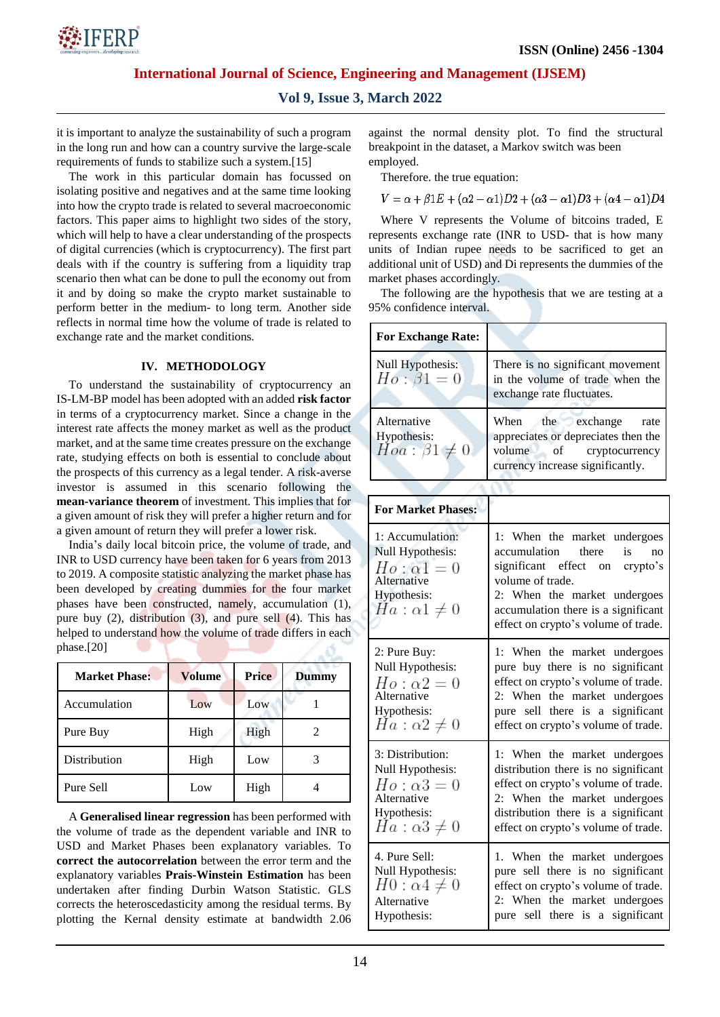

# **Vol 9, Issue 3, March 2022**

it is important to analyze the sustainability of such a program in the long run and how can a country survive the large-scale requirements of funds to stabilize such a system.[15]

The work in this particular domain has focussed on isolating positive and negatives and at the same time looking into how the crypto trade is related to several macroeconomic factors. This paper aims to highlight two sides of the story, which will help to have a clear understanding of the prospects of digital currencies (which is cryptocurrency). The first part deals with if the country is suffering from a liquidity trap scenario then what can be done to pull the economy out from it and by doing so make the crypto market sustainable to perform better in the medium- to long term. Another side reflects in normal time how the volume of trade is related to exchange rate and the market conditions.

## **IV. METHODOLOGY**

To understand the sustainability of cryptocurrency an IS-LM-BP model has been adopted with an added **risk factor** in terms of a cryptocurrency market. Since a change in the interest rate affects the money market as well as the product market, and at the same time creates pressure on the exchange rate, studying effects on both is essential to conclude about the prospects of this currency as a legal tender. A risk-averse investor is assumed in this scenario following the **mean-variance theorem** of investment. This implies that for a given amount of risk they will prefer a higher return and for a given amount of return they will prefer a lower risk.

India's daily local bitcoin price, the volume of trade, and INR to USD currency have been taken for 6 years from 2013 to 2019. A composite statistic analyzing the market phase has been developed by creating dummies for the four market phases have been constructed, namely, accumulation (1), pure buy (2), distribution (3), and pure sell (4). This has helped to understand how the volume of trade differs in each phase.[20]  $\bigcirc$ 

| <b>Market Phase:</b> | <b>Volume</b> | <b>Price</b> | <b>Dummy</b> |  |
|----------------------|---------------|--------------|--------------|--|
| Accumulation         | Low           | Low          |              |  |
| Pure Buy             | High          | High         | 2            |  |
| Distribution         | High          | Low          | 3            |  |
| Pure Sell            | Low           | High         |              |  |

A **Generalised linear regression** has been performed with the volume of trade as the dependent variable and INR to USD and Market Phases been explanatory variables. To **correct the autocorrelation** between the error term and the explanatory variables **Prais-Winstein Estimation** has been undertaken after finding Durbin Watson Statistic. GLS corrects the heteroscedasticity among the residual terms. By plotting the Kernal density estimate at bandwidth 2.06 against the normal density plot. To find the structural employed. breakpoint in the dataset, a Markov switch was been

Therefore. the true equation:

$$
V = \alpha + \beta 1E + (\alpha 2 - \alpha 1)D2 + (\alpha 3 - \alpha 1)D3 + (\alpha 4 - \alpha 1)D4
$$

Where V represents the Volume of bitcoins traded, E represents exchange rate (INR to USD- that is how many units of Indian rupee needs to be sacrificed to get an additional unit of USD) and Di represents the dummies of the market phases accordingly.

The following are the hypothesis that we are testing at a 95% confidence interval.

| <b>For Exchange Rate:</b>                                                                                      |                                                                                                                                                                                                                                    |  |  |
|----------------------------------------------------------------------------------------------------------------|------------------------------------------------------------------------------------------------------------------------------------------------------------------------------------------------------------------------------------|--|--|
| Null Hypothesis:<br>$Ho: \beta1=0$                                                                             | There is no significant movement<br>in the volume of trade when the<br>exchange rate fluctuates.                                                                                                                                   |  |  |
| Alternative<br>Hypothesis:<br>$Hoa: \beta1 \neq 0$                                                             | When the exchange<br>rate<br>appreciates or depreciates then the<br>volume of cryptocurrency<br>currency increase significantly.                                                                                                   |  |  |
|                                                                                                                |                                                                                                                                                                                                                                    |  |  |
| <b>For Market Phases:</b>                                                                                      |                                                                                                                                                                                                                                    |  |  |
| 1: Accumulation:<br>Null Hypothesis:<br>$Ho: \alpha1=0$<br>Alternative<br>Hypothesis:<br>$Ha: \alpha 1 \neq 0$ | 1: When the market undergoes<br>accumulation there<br>is<br>no<br>significant effect on crypto's<br>volume of trade.<br>2: When the market undergoes<br>accumulation there is a significant<br>effect on crypto's volume of trade. |  |  |
| 2: Pure Buy:<br>Null Hypothesis:<br>$Ho: \alpha2=0$<br>Alternative<br>Hypothesis:<br>$Ha: \alpha2 \neq 0$      | 1: When the market undergoes<br>pure buy there is no significant<br>effect on crypto's volume of trade.<br>2: When the market undergoes<br>pure sell there is a significant<br>effect on crypto's volume of trade.                 |  |  |
| 3: Distribution:<br>Null Hypothesis:<br>$Ho: \alpha 3=0$<br>Alternative<br>Hypothesis:<br>$Ha: \alpha3 \neq 0$ | 1: When the market undergoes<br>distribution there is no significant<br>effect on crypto's volume of trade.<br>2: When the market undergoes<br>distribution there is a significant<br>effect on crypto's volume of trade.          |  |  |
| 4. Pure Sell:<br>Null Hypothesis:<br>$H0: \alpha 4 \neq 0$<br>Alternative<br>Hypothesis:                       | 1. When the market undergoes<br>pure sell there is no significant<br>effect on crypto's volume of trade.<br>2: When the market undergoes<br>pure sell there is a significant                                                       |  |  |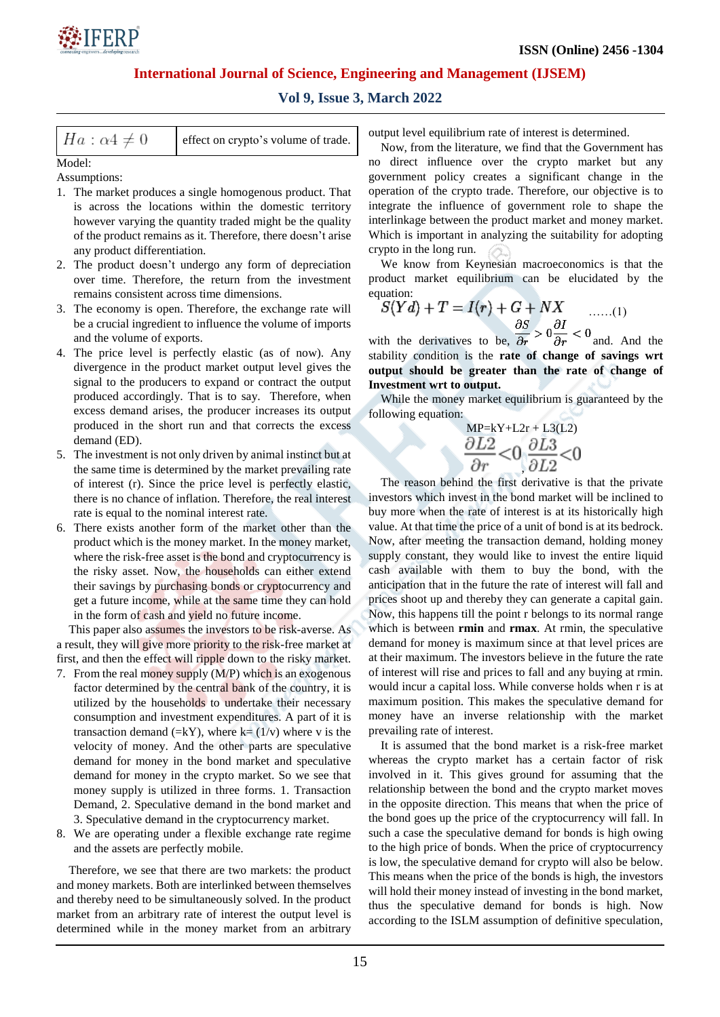

## **Vol 9, Issue 3, March 2022**

| $Ha: \alpha 4 \neq 0$ | effect on crypto's volume of trade. |
|-----------------------|-------------------------------------|
|-----------------------|-------------------------------------|

Model:

Assumptions:

- 1. The market produces a single homogenous product. That is across the locations within the domestic territory however varying the quantity traded might be the quality of the product remains as it. Therefore, there doesn't arise any product differentiation.
- 2. The product doesn't undergo any form of depreciation over time. Therefore, the return from the investment remains consistent across time dimensions.
- 3. The economy is open. Therefore, the exchange rate will be a crucial ingredient to influence the volume of imports and the volume of exports.
- 4. The price level is perfectly elastic (as of now). Any divergence in the product market output level gives the signal to the producers to expand or contract the output produced accordingly. That is to say. Therefore, when excess demand arises, the producer increases its output produced in the short run and that corrects the excess demand (ED).
- 5. The investment is not only driven by animal instinct but at the same time is determined by the market prevailing rate of interest (r). Since the price level is perfectly elastic, there is no chance of inflation. Therefore, the real interest rate is equal to the nominal interest rate.
- 6. There exists another form of the market other than the product which is the money market. In the money market, where the risk-free asset is the bond and cryptocurrency is the risky asset. Now, the households can either extend their savings by purchasing bonds or cryptocurrency and get a future income, while at the same time they can hold in the form of cash and yield no future income.

This paper also assumes the investors to be risk-averse. As a result, they will give more priority to the risk-free market at first, and then the effect will ripple down to the risky market.

- 7. From the real money supply (M/P) which is an exogenous factor determined by the central bank of the country, it is utilized by the households to undertake their necessary consumption and investment expenditures. A part of it is transaction demand (=kY), where  $k=(1/v)$  where v is the velocity of money. And the other parts are speculative demand for money in the bond market and speculative demand for money in the crypto market. So we see that money supply is utilized in three forms. 1. Transaction Demand, 2. Speculative demand in the bond market and 3. Speculative demand in the cryptocurrency market.
- 8. We are operating under a flexible exchange rate regime and the assets are perfectly mobile.

Therefore, we see that there are two markets: the product and money markets. Both are interlinked between themselves and thereby need to be simultaneously solved. In the product market from an arbitrary rate of interest the output level is determined while in the money market from an arbitrary output level equilibrium rate of interest is determined.

Now, from the literature, we find that the Government has no direct influence over the crypto market but any government policy creates a significant change in the operation of the crypto trade. Therefore, our objective is to integrate the influence of government role to shape the interlinkage between the product market and money market. Which is important in analyzing the suitability for adopting crypto in the long run.

We know from Keynesian macroeconomics is that the product market equilibrium can be elucidated by the equation:

$$
S(Yd) + T = I(r) + G + NX
$$
 ......(1)  

$$
\frac{\partial S}{\partial S} \frac{\partial I}{\partial t} < 0
$$

with the derivatives to be,  $\overline{\partial r} > 0$  and. And the stability condition is the **rate of change of savings wrt output should be greater than the rate of change of Investment wrt to output.**

While the money market equilibrium is guaranteed by the following equation:

 $MP=kY+L2r + L3(L2)$  $\frac{\partial L2}{\partial r} < 0 \frac{\partial L3}{\partial L2} < 0$ 

The reason behind the first derivative is that the private investors which invest in the bond market will be inclined to buy more when the rate of interest is at its historically high value. At that time the price of a unit of bond is at its bedrock. Now, after meeting the transaction demand, holding money supply constant, they would like to invest the entire liquid cash available with them to buy the bond, with the anticipation that in the future the rate of interest will fall and prices shoot up and thereby they can generate a capital gain. Now, this happens till the point r belongs to its normal range which is between **rmin** and **rmax**. At rmin, the speculative demand for money is maximum since at that level prices are at their maximum. The investors believe in the future the rate of interest will rise and prices to fall and any buying at rmin. would incur a capital loss. While converse holds when r is at maximum position. This makes the speculative demand for money have an inverse relationship with the market prevailing rate of interest.

It is assumed that the bond market is a risk-free market whereas the crypto market has a certain factor of risk involved in it. This gives ground for assuming that the relationship between the bond and the crypto market moves in the opposite direction. This means that when the price of the bond goes up the price of the cryptocurrency will fall. In such a case the speculative demand for bonds is high owing to the high price of bonds. When the price of cryptocurrency is low, the speculative demand for crypto will also be below. This means when the price of the bonds is high, the investors will hold their money instead of investing in the bond market, thus the speculative demand for bonds is high. Now according to the ISLM assumption of definitive speculation,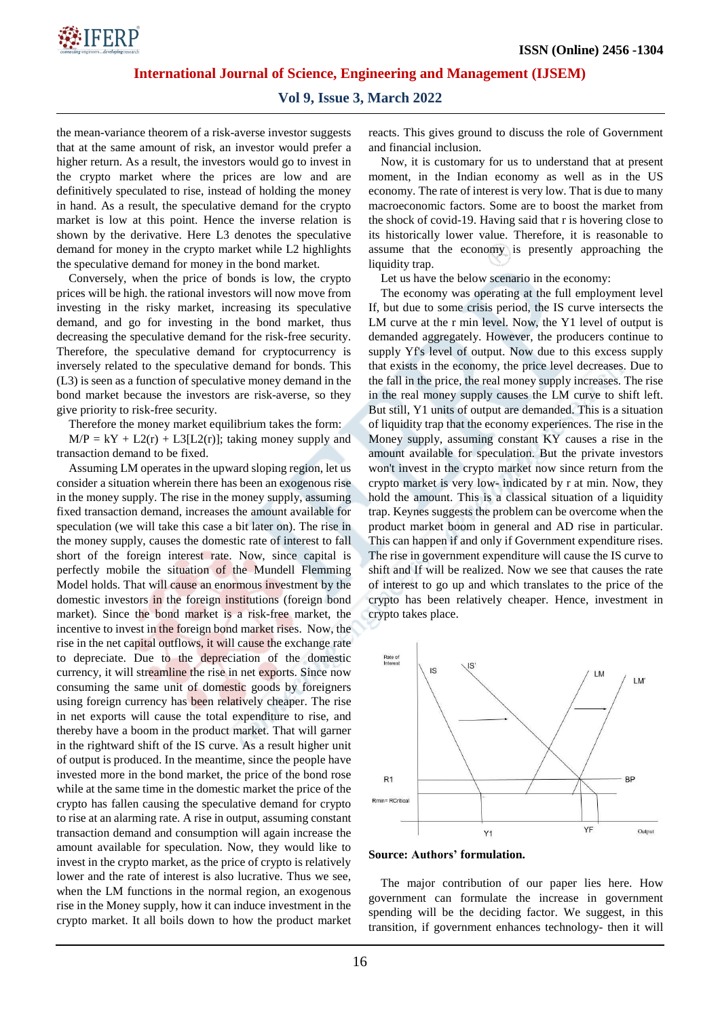

#### **Vol 9, Issue 3, March 2022**

the mean-variance theorem of a risk-averse investor suggests that at the same amount of risk, an investor would prefer a higher return. As a result, the investors would go to invest in the crypto market where the prices are low and are definitively speculated to rise, instead of holding the money in hand. As a result, the speculative demand for the crypto market is low at this point. Hence the inverse relation is shown by the derivative. Here L3 denotes the speculative demand for money in the crypto market while L2 highlights the speculative demand for money in the bond market.

Conversely, when the price of bonds is low, the crypto prices will be high. the rational investors will now move from investing in the risky market, increasing its speculative demand, and go for investing in the bond market, thus decreasing the speculative demand for the risk-free security. Therefore, the speculative demand for cryptocurrency is inversely related to the speculative demand for bonds. This (L3) is seen as a function of speculative money demand in the bond market because the investors are risk-averse, so they give priority to risk-free security.

Therefore the money market equilibrium takes the form:

 $M/P = kY + L2(r) + L3[L2(r)];$  taking money supply and transaction demand to be fixed.

Assuming LM operates in the upward sloping region, let us consider a situation wherein there has been an exogenous rise in the money supply. The rise in the money supply, assuming fixed transaction demand, increases the amount available for speculation (we will take this case a bit later on). The rise in the money supply, causes the domestic rate of interest to fall short of the foreign interest rate. Now, since capital is perfectly mobile the situation of the Mundell Flemming Model holds. That will cause an enormous investment by the domestic investors in the foreign institutions (foreign bond market). Since the bond market is a risk-free market, the incentive to invest in the foreign bond market rises. Now, the rise in the net capital outflows, it will cause the exchange rate to depreciate. Due to the depreciation of the domestic currency, it will streamline the rise in net exports. Since now consuming the same unit of domestic goods by foreigners using foreign currency has been relatively cheaper. The rise in net exports will cause the total expenditure to rise, and thereby have a boom in the product market. That will garner in the rightward shift of the IS curve. As a result higher unit of output is produced. In the meantime, since the people have invested more in the bond market, the price of the bond rose while at the same time in the domestic market the price of the crypto has fallen causing the speculative demand for crypto to rise at an alarming rate. A rise in output, assuming constant transaction demand and consumption will again increase the amount available for speculation. Now, they would like to invest in the crypto market, as the price of crypto is relatively lower and the rate of interest is also lucrative. Thus we see, when the LM functions in the normal region, an exogenous rise in the Money supply, how it can induce investment in the crypto market. It all boils down to how the product market reacts. This gives ground to discuss the role of Government and financial inclusion.

Now, it is customary for us to understand that at present moment, in the Indian economy as well as in the US economy. The rate of interest is very low. That is due to many macroeconomic factors. Some are to boost the market from the shock of covid-19. Having said that r is hovering close to its historically lower value. Therefore, it is reasonable to assume that the economy is presently approaching the liquidity trap.

Let us have the below scenario in the economy:

The economy was operating at the full employment level If, but due to some crisis period, the IS curve intersects the LM curve at the r min level. Now, the Y1 level of output is demanded aggregately. However, the producers continue to supply Yf's level of output. Now due to this excess supply that exists in the economy, the price level decreases. Due to the fall in the price, the real money supply increases. The rise in the real money supply causes the LM curve to shift left. But still, Y1 units of output are demanded. This is a situation of liquidity trap that the economy experiences. The rise in the Money supply, assuming constant KY causes a rise in the amount available for speculation. But the private investors won't invest in the crypto market now since return from the crypto market is very low- indicated by r at min. Now, they hold the amount. This is a classical situation of a liquidity trap. Keynes suggests the problem can be overcome when the product market boom in general and AD rise in particular. This can happen if and only if Government expenditure rises. The rise in government expenditure will cause the IS curve to shift and If will be realized. Now we see that causes the rate of interest to go up and which translates to the price of the crypto has been relatively cheaper. Hence, investment in crypto takes place.



**Source: Authors' formulation.**

The major contribution of our paper lies here. How government can formulate the increase in government spending will be the deciding factor. We suggest, in this transition, if government enhances technology- then it will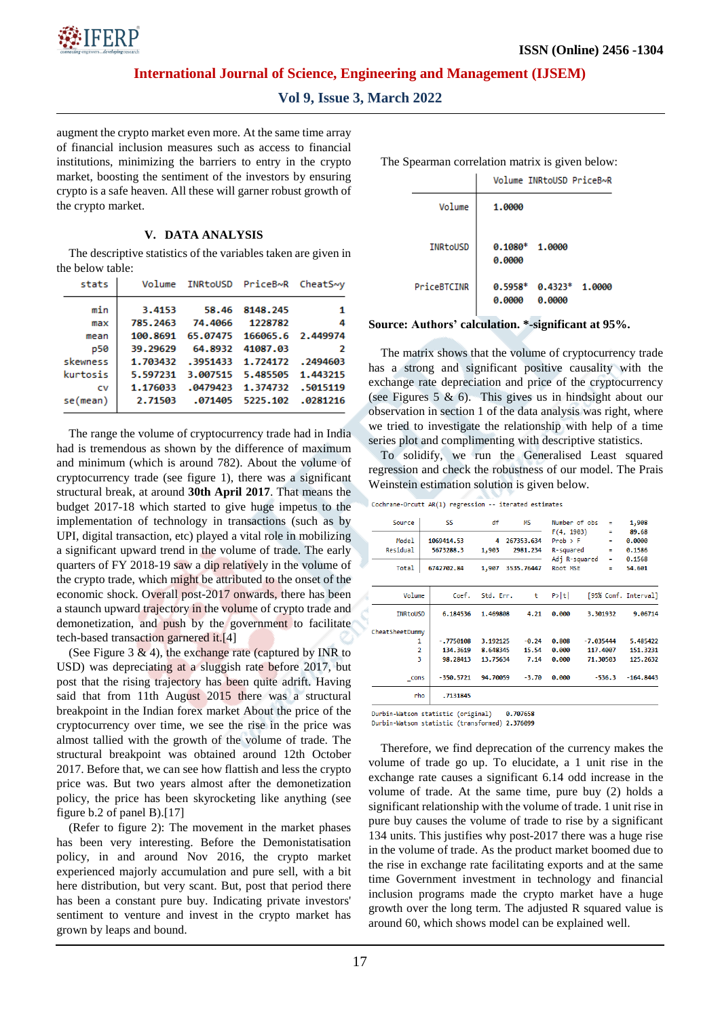

**Vol 9, Issue 3, March 2022**

augment the crypto market even more. At the same time array of financial inclusion measures such as access to financial institutions, minimizing the barriers to entry in the crypto market, boosting the sentiment of the investors by ensuring crypto is a safe heaven. All these will garner robust growth of the crypto market.

#### **V. DATA ANALYSIS**

The descriptive statistics of the variables taken are given in the below table:

| stats    |          |          | Volume INRtoUSD PriceB~R | CheatS~v |
|----------|----------|----------|--------------------------|----------|
| min      | 3.4153   | 58.46    | 8148.245                 | 1        |
| max      | 785.2463 | 74.4066  | 1228782                  | 4        |
| mean     | 100.8691 | 65.07475 | 166065.6 2.449974        |          |
| p50      | 39.29629 | 64.8932  | 41087.03                 | 2        |
| skewness | 1.703432 | .3951433 | 1.724172                 | .2494603 |
| kurtosis | 5.597231 | 3.007515 | 5.485505                 | 1.443215 |
| CV       | 1.176033 | .0479423 | 1.374732                 | .5015119 |
| se(mean) | 2.71503  | .071405  | 5225.102                 | .0281216 |
|          |          |          |                          |          |

The range the volume of cryptocurrency trade had in India had is tremendous as shown by the difference of maximum and minimum (which is around 782). About the volume of cryptocurrency trade (see figure 1), there was a significant structural break, at around **30th April 2017**. That means the budget 2017-18 which started to give huge impetus to the implementation of technology in transactions (such as by UPI, digital transaction, etc) played a vital role in mobilizing a significant upward trend in the volume of trade. The early quarters of FY 2018-19 saw a dip relatively in the volume of the crypto trade, which might be attributed to the onset of the economic shock. Overall post-2017 onwards, there has been a staunch upward trajectory in the volume of crypto trade and demonetization, and push by the government to facilitate tech-based transaction garnered it.[4]

(See Figure 3  $\&$  4), the exchange rate (captured by INR to USD) was depreciating at a sluggish rate before 2017, but post that the rising trajectory has been quite adrift. Having said that from 11th August 2015 there was a structural breakpoint in the Indian forex market About the price of the cryptocurrency over time, we see the rise in the price was almost tallied with the growth of the volume of trade. The structural breakpoint was obtained around 12th October 2017. Before that, we can see how flattish and less the crypto price was. But two years almost after the demonetization policy, the price has been skyrocketing like anything (see figure b.2 of panel B).[17]

(Refer to figure 2): The movement in the market phases has been very interesting. Before the Demonistatisation policy, in and around Nov 2016, the crypto market experienced majorly accumulation and pure sell, with a bit here distribution, but very scant. But, post that period there has been a constant pure buy. Indicating private investors' sentiment to venture and invest in the crypto market has grown by leaps and bound.

The Spearman correlation matrix is given below:

|                 | Volume INRtoUSD PriceB~R                         |
|-----------------|--------------------------------------------------|
| Volume          | 1.0000                                           |
| <b>INRtoUSD</b> | $0.1080*$ 1.0000<br>0.0000                       |
| PriceBTCINR     | $0.5958*$<br>$0.4323*1.0000$<br>0.0000<br>0.0000 |

**Source: Authors' calculation. \*-significant at 95%.**

The matrix shows that the volume of cryptocurrency trade has a strong and significant positive causality with the exchange rate depreciation and price of the cryptocurrency (see Figures 5  $\&$  6). This gives us in hindsight about our observation in section 1 of the data analysis was right, where we tried to investigate the relationship with help of a time series plot and complimenting with descriptive statistics.

To solidify, we run the Generalised Least squared regression and check the robustness of our model. The Prais Weinstein estimation solution is given below.

Cochrane-Orcutt AR(1) regression -- iterated estimates

| Source                        | SS                      | df         | <b>MS</b>              | Number of obs                           | Ξ                               | 1,908                     |
|-------------------------------|-------------------------|------------|------------------------|-----------------------------------------|---------------------------------|---------------------------|
| Mode <sub>1</sub><br>Residual | 1069414.53<br>5673288.3 | 4<br>1,903 | 267353.634<br>2981.234 | F(4, 1903)<br>$Prob$ > $F$<br>R-squared | $\equiv$<br>Ξ<br>$\blacksquare$ | 89.68<br>0.0000<br>0.1586 |
| Total                         | 6742702.84              | 1,907      | 3535.76447             | Adj R-squared<br>Root MSE               | $\blacksquare$<br>٠             | 0.1568<br>54.601          |
| Volume                        | Coef.                   | Std. Err.  | t                      | P> t                                    |                                 | [95% Conf. Interval]      |
| <b>INRtoUSD</b>               | 6.184536                | 1.469808   | 4.21                   | 0.000                                   | 3.301932                        | 9.06714                   |
| CheatSheetDummy               |                         |            |                        |                                         |                                 |                           |
| 1                             | $-.7750108$             | 3.192125   | $-0.24$                | 0.808                                   | $-7.035444$                     | 5.485422                  |
| $\overline{2}$                | 134, 3619               | 8.648345   | 15.54                  | 0.000                                   | 117,4007                        | 151.3231                  |
| ٩                             | 98.28413                | 13.75634   | 7.14                   | 0.000                                   | 71.30503                        | 125.2632                  |
| cons                          | $-350.5721$             | 94.70059   | $-3.70$                | 0.000                                   | $-536.3$                        | $-164.8443$               |
| rho                           | .7131845                |            |                        |                                         |                                 |                           |

Durbin-Watson statistic (original) 8.707658

Durbin-Watson statistic (transformed) 2.376099

Therefore, we find deprecation of the currency makes the volume of trade go up. To elucidate, a 1 unit rise in the exchange rate causes a significant 6.14 odd increase in the volume of trade. At the same time, pure buy (2) holds a significant relationship with the volume of trade. 1 unit rise in pure buy causes the volume of trade to rise by a significant 134 units. This justifies why post-2017 there was a huge rise in the volume of trade. As the product market boomed due to the rise in exchange rate facilitating exports and at the same time Government investment in technology and financial inclusion programs made the crypto market have a huge growth over the long term. The adjusted R squared value is around 60, which shows model can be explained well.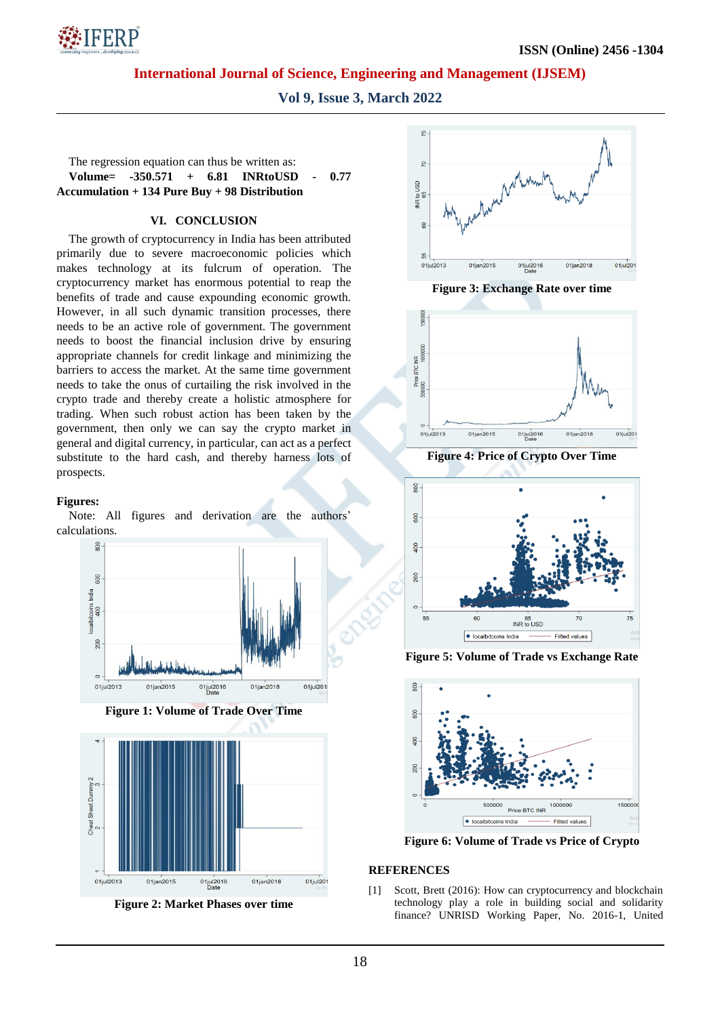

**Vol 9, Issue 3, March 2022**

The regression equation can thus be written as:

**Volume= -350.571 + 6.81 INRtoUSD - 0.77 Accumulation + 134 Pure Buy + 98 Distribution**

## **VI. CONCLUSION**

The growth of cryptocurrency in India has been attributed primarily due to severe macroeconomic policies which makes technology at its fulcrum of operation. The cryptocurrency market has enormous potential to reap the benefits of trade and cause expounding economic growth. However, in all such dynamic transition processes, there needs to be an active role of government. The government needs to boost the financial inclusion drive by ensuring appropriate channels for credit linkage and minimizing the barriers to access the market. At the same time government needs to take the onus of curtailing the risk involved in the crypto trade and thereby create a holistic atmosphere for trading. When such robust action has been taken by the government, then only we can say the crypto market in general and digital currency, in particular, can act as a perfect substitute to the hard cash, and thereby harness lots of prospects.

#### **Figures:**

Note: All figures and derivation are the authors' calculations.



**Figure 1: Volume of Trade Over Time**



**Figure 2: Market Phases over time**



**Figure 3: Exchange Rate over time**



**Figure 4: Price of Crypto Over Time**



**Figure 5: Volume of Trade vs Exchange Rate**



**Figure 6: Volume of Trade vs Price of Crypto**

## **REFERENCES**

[1] Scott, Brett (2016): How can cryptocurrency and blockchain technology play a role in building social and solidarity finance? UNRISD Working Paper, No. 2016-1, United